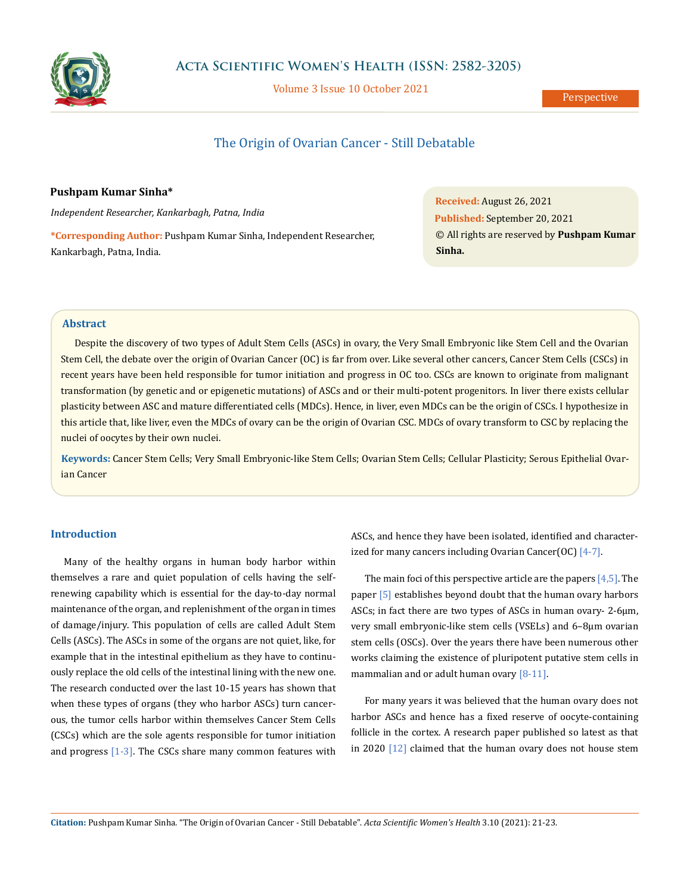

Volume 3 Issue 10 October 2021

# The Origin of Ovarian Cancer - Still Debatable

### **Pushpam Kumar Sinha\***

*Independent Researcher, Kankarbagh, Patna, India*

**\*Corresponding Author:** Pushpam Kumar Sinha, Independent Researcher, Kankarbagh, Patna, India.

**Received:** August 26, 2021 **Published:** September 20, 2021 © All rights are reserved by **Pushpam Kumar Sinha.**

### **Abstract**

Despite the discovery of two types of Adult Stem Cells (ASCs) in ovary, the Very Small Embryonic like Stem Cell and the Ovarian Stem Cell, the debate over the origin of Ovarian Cancer (OC) is far from over. Like several other cancers, Cancer Stem Cells (CSCs) in recent years have been held responsible for tumor initiation and progress in OC too. CSCs are known to originate from malignant transformation (by genetic and or epigenetic mutations) of ASCs and or their multi-potent progenitors. In liver there exists cellular plasticity between ASC and mature differentiated cells (MDCs). Hence, in liver, even MDCs can be the origin of CSCs. I hypothesize in this article that, like liver, even the MDCs of ovary can be the origin of Ovarian CSC. MDCs of ovary transform to CSC by replacing the nuclei of oocytes by their own nuclei.

**Keywords:** Cancer Stem Cells; Very Small Embryonic-like Stem Cells; Ovarian Stem Cells; Cellular Plasticity; Serous Epithelial Ovarian Cancer

## **Introduction**

Many of the healthy organs in human body harbor within themselves a rare and quiet population of cells having the selfrenewing capability which is essential for the day-to-day normal maintenance of the organ, and replenishment of the organ in times of damage/injury. This population of cells are called Adult Stem Cells (ASCs). The ASCs in some of the organs are not quiet, like, for example that in the intestinal epithelium as they have to continuously replace the old cells of the intestinal lining with the new one. The research conducted over the last 10-15 years has shown that when these types of organs (they who harbor ASCs) turn cancerous, the tumor cells harbor within themselves Cancer Stem Cells (CSCs) which are the sole agents responsible for tumor initiation and progress  $[1-3]$ . The CSCs share many common features with ASCs, and hence they have been isolated, identified and characterized for many cancers including Ovarian Cancer(OC)  $[4-7]$ .

The main foci of this perspective article are the papers [4,5]. The paper [5] establishes beyond doubt that the human ovary harbors ASCs; in fact there are two types of ASCs in human ovary- 2-6μm, very small embryonic-like stem cells (VSELs) and 6–8μm ovarian stem cells (OSCs). Over the years there have been numerous other works claiming the existence of pluripotent putative stem cells in mammalian and or adult human ovary  $[8-11]$ .

For many years it was believed that the human ovary does not harbor ASCs and hence has a fixed reserve of oocyte-containing follicle in the cortex. A research paper published so latest as that in 2020 [12] claimed that the human ovary does not house stem

**Citation:** Pushpam Kumar Sinha*.* "The Origin of Ovarian Cancer - Still Debatable". *Acta Scientific Women's Health* 3.10 (2021): 21-23.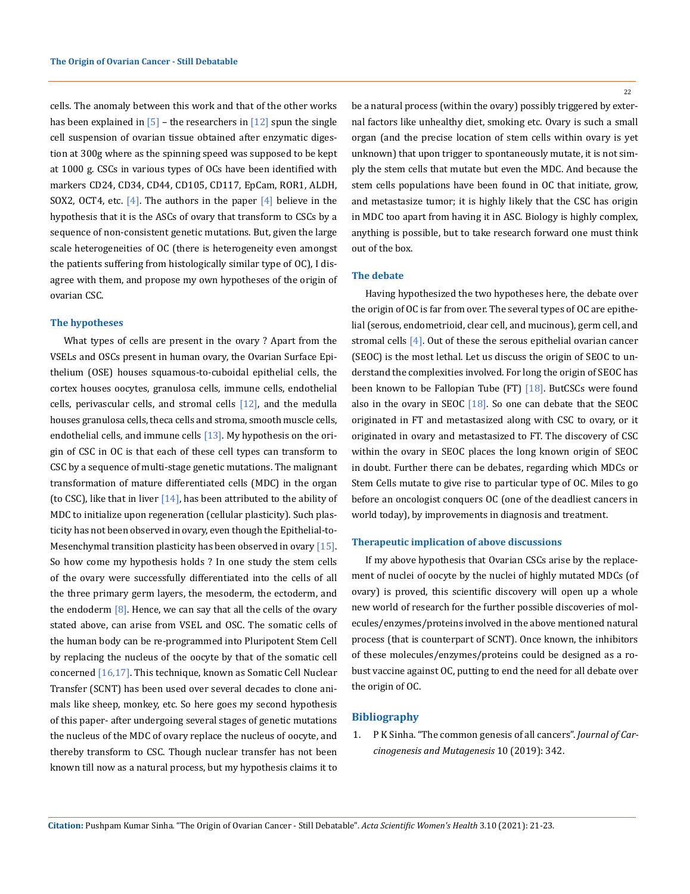cells. The anomaly between this work and that of the other works has been explained in  $\lceil 5 \rceil$  – the researchers in  $\lceil 12 \rceil$  spun the single cell suspension of ovarian tissue obtained after enzymatic digestion at 300g where as the spinning speed was supposed to be kept at 1000 g. CSCs in various types of OCs have been identified with markers CD24, CD34, CD44, CD105, CD117, EpCam, ROR1, ALDH, SOX2, OCT4, etc.  $[4]$ . The authors in the paper  $[4]$  believe in the hypothesis that it is the ASCs of ovary that transform to CSCs by a sequence of non-consistent genetic mutations. But, given the large scale heterogeneities of OC (there is heterogeneity even amongst the patients suffering from histologically similar type of OC), I disagree with them, and propose my own hypotheses of the origin of ovarian CSC.

#### **The hypotheses**

What types of cells are present in the ovary ? Apart from the VSELs and OSCs present in human ovary, the Ovarian Surface Epithelium (OSE) houses squamous-to-cuboidal epithelial cells, the cortex houses oocytes, granulosa cells, immune cells, endothelial cells, perivascular cells, and stromal cells  $[12]$ , and the medulla houses granulosa cells, theca cells and stroma, smooth muscle cells, endothelial cells, and immune cells  $[13]$ . My hypothesis on the origin of CSC in OC is that each of these cell types can transform to CSC by a sequence of multi-stage genetic mutations. The malignant transformation of mature differentiated cells (MDC) in the organ (to CSC), like that in liver  $[14]$ , has been attributed to the ability of MDC to initialize upon regeneration (cellular plasticity). Such plasticity has not been observed in ovary, even though the Epithelial-to-Mesenchymal transition plasticity has been observed in ovary [15]. So how come my hypothesis holds ? In one study the stem cells of the ovary were successfully differentiated into the cells of all the three primary germ layers, the mesoderm, the ectoderm, and the endoderm  $[8]$ . Hence, we can say that all the cells of the ovary stated above, can arise from VSEL and OSC. The somatic cells of the human body can be re-programmed into Pluripotent Stem Cell by replacing the nucleus of the oocyte by that of the somatic cell concerned [16,17]. This technique, known as Somatic Cell Nuclear Transfer (SCNT) has been used over several decades to clone animals like sheep, monkey, etc. So here goes my second hypothesis of this paper- after undergoing several stages of genetic mutations the nucleus of the MDC of ovary replace the nucleus of oocyte, and thereby transform to CSC. Though nuclear transfer has not been known till now as a natural process, but my hypothesis claims it to

be a natural process (within the ovary) possibly triggered by external factors like unhealthy diet, smoking etc. Ovary is such a small organ (and the precise location of stem cells within ovary is yet unknown) that upon trigger to spontaneously mutate, it is not simply the stem cells that mutate but even the MDC. And because the stem cells populations have been found in OC that initiate, grow, and metastasize tumor; it is highly likely that the CSC has origin in MDC too apart from having it in ASC. Biology is highly complex, anything is possible, but to take research forward one must think out of the box.

#### **The debate**

Having hypothesized the two hypotheses here, the debate over the origin of OC is far from over. The several types of OC are epithelial (serous, endometrioid, clear cell, and mucinous), germ cell, and stromal cells [4]. Out of these the serous epithelial ovarian cancer (SEOC) is the most lethal. Let us discuss the origin of SEOC to understand the complexities involved. For long the origin of SEOC has been known to be Fallopian Tube (FT) [18]. ButCSCs were found also in the ovary in SEOC  $[18]$ . So one can debate that the SEOC originated in FT and metastasized along with CSC to ovary, or it originated in ovary and metastasized to FT. The discovery of CSC within the ovary in SEOC places the long known origin of SEOC in doubt. Further there can be debates, regarding which MDCs or Stem Cells mutate to give rise to particular type of OC. Miles to go before an oncologist conquers OC (one of the deadliest cancers in world today), by improvements in diagnosis and treatment.

#### **Therapeutic implication of above discussions**

If my above hypothesis that Ovarian CSCs arise by the replacement of nuclei of oocyte by the nuclei of highly mutated MDCs (of ovary) is proved, this scientific discovery will open up a whole new world of research for the further possible discoveries of molecules/enzymes/proteins involved in the above mentioned natural process (that is counterpart of SCNT). Once known, the inhibitors of these molecules/enzymes/proteins could be designed as a robust vaccine against OC, putting to end the need for all debate over the origin of OC.

#### **Bibliography**

1. [P K Sinha. "The common genesis of all cancers".](https://www.longdom.org/open-access/the-common-genesis-of-all-cancers.pdf) *Journal of Car[cinogenesis and Mutagenesis](https://www.longdom.org/open-access/the-common-genesis-of-all-cancers.pdf)* 10 (2019): 342.